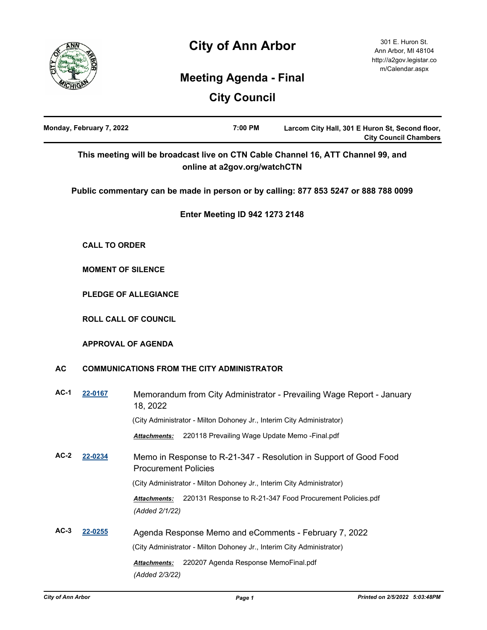



# **Meeting Agenda - Final**

|           | Monday, February 7, 2022 | 7:00 PM                                                                       | Larcom City Hall, 301 E Huron St, Second floor,<br><b>City Council Chambers</b>     |  |
|-----------|--------------------------|-------------------------------------------------------------------------------|-------------------------------------------------------------------------------------|--|
|           |                          | online at a2gov.org/watchCTN                                                  | This meeting will be broadcast live on CTN Cable Channel 16, ATT Channel 99, and    |  |
|           |                          |                                                                               | Public commentary can be made in person or by calling: 877 853 5247 or 888 788 0099 |  |
|           |                          | <b>Enter Meeting ID 942 1273 2148</b>                                         |                                                                                     |  |
|           | <b>CALL TO ORDER</b>     |                                                                               |                                                                                     |  |
|           | <b>MOMENT OF SILENCE</b> |                                                                               |                                                                                     |  |
|           |                          | <b>PLEDGE OF ALLEGIANCE</b>                                                   |                                                                                     |  |
|           |                          | <b>ROLL CALL OF COUNCIL</b>                                                   |                                                                                     |  |
|           |                          | <b>APPROVAL OF AGENDA</b>                                                     |                                                                                     |  |
| <b>AC</b> |                          | <b>COMMUNICATIONS FROM THE CITY ADMINISTRATOR</b>                             |                                                                                     |  |
| $AC-1$    | 22-0167                  | 18, 2022                                                                      | Memorandum from City Administrator - Prevailing Wage Report - January               |  |
|           |                          | (City Administrator - Milton Dohoney Jr., Interim City Administrator)         |                                                                                     |  |
|           |                          | 220118 Prevailing Wage Update Memo - Final.pdf<br><b>Attachments:</b>         |                                                                                     |  |
| $AC-2$    | 22-0234                  | <b>Procurement Policies</b>                                                   | Memo in Response to R-21-347 - Resolution in Support of Good Food                   |  |
|           |                          | (City Administrator - Milton Dohoney Jr., Interim City Administrator)         |                                                                                     |  |
|           |                          | Attachments:<br>(Added 2/1/22)                                                | 220131 Response to R-21-347 Food Procurement Policies.pdf                           |  |
| $AC-3$    | 22-0255                  | Agenda Response Memo and eComments - February 7, 2022                         |                                                                                     |  |
|           |                          | (City Administrator - Milton Dohoney Jr., Interim City Administrator)         |                                                                                     |  |
|           |                          | 220207 Agenda Response MemoFinal.pdf<br><b>Attachments:</b><br>(Added 2/3/22) |                                                                                     |  |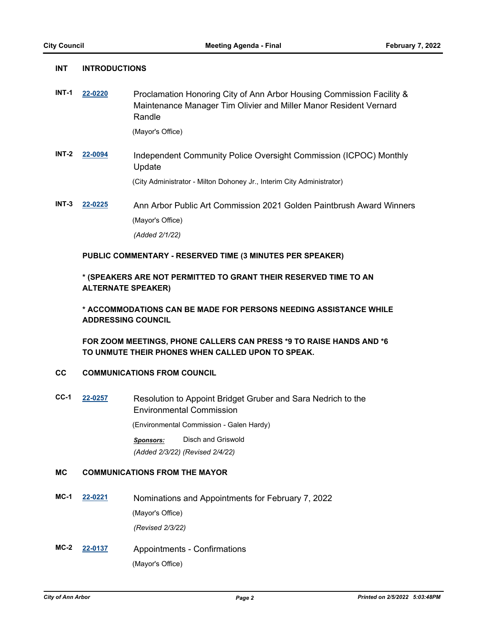**INT INTRODUCTIONS**

| <b>INT-1</b> | 22-0220 | Proclamation Honoring City of Ann Arbor Housing Commission Facility &<br>Maintenance Manager Tim Olivier and Miller Manor Resident Vernard<br>Randle |
|--------------|---------|------------------------------------------------------------------------------------------------------------------------------------------------------|
|              |         | (Mayor's Office)                                                                                                                                     |
|              |         |                                                                                                                                                      |
| INT-2        | 22-0094 | Independent Community Police Oversight Commission (ICPOC) Monthly<br>Update                                                                          |
|              |         | (City Administrator - Milton Dohoney Jr., Interim City Administrator)                                                                                |
| $INT-3$      | 22-0225 | Ann Arbor Public Art Commission 2021 Golden Paintbrush Award Winners                                                                                 |
|              |         |                                                                                                                                                      |
|              |         | (Mayor's Office)                                                                                                                                     |
|              |         | (Added 2/1/22)                                                                                                                                       |
|              |         | PUBLIC COMMENTARY - RESERVED TIME (3 MINUTES PER SPEAKER)                                                                                            |

# **\* (SPEAKERS ARE NOT PERMITTED TO GRANT THEIR RESERVED TIME TO AN ALTERNATE SPEAKER)**

**\* ACCOMMODATIONS CAN BE MADE FOR PERSONS NEEDING ASSISTANCE WHILE ADDRESSING COUNCIL**

**FOR ZOOM MEETINGS, PHONE CALLERS CAN PRESS \*9 TO RAISE HANDS AND \*6 TO UNMUTE THEIR PHONES WHEN CALLED UPON TO SPEAK.**

# **CC COMMUNICATIONS FROM COUNCIL**

**CC-1 [22-0257](http://a2gov.legistar.com/gateway.aspx?M=L&ID=29444)** Resolution to Appoint Bridget Gruber and Sara Nedrich to the Environmental Commission (Environmental Commission - Galen Hardy) *Sponsors:* Disch and Griswold

*(Added 2/3/22) (Revised 2/4/22)*

# **MC COMMUNICATIONS FROM THE MAYOR**

- **MC-1 [22-0221](http://a2gov.legistar.com/gateway.aspx?M=L&ID=29408)** Nominations and Appointments for February 7, 2022 (Mayor's Office) *(Revised 2/3/22)*
- **MC-2 [22-0137](http://a2gov.legistar.com/gateway.aspx?M=L&ID=29328)** Appointments Confirmations (Mayor's Office)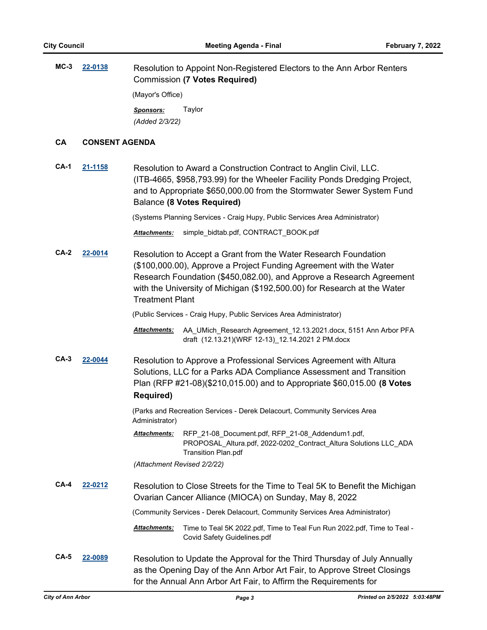**MC-3 [22-0138](http://a2gov.legistar.com/gateway.aspx?M=L&ID=29329)** Resolution to Appoint Non-Registered Electors to the Ann Arbor Renters Commission **(7 Votes Required)** (Mayor's Office) *Sponsors:* Taylor *(Added 2/3/22)*

#### **CA CONSENT AGENDA**

**CA-1 [21-1158](http://a2gov.legistar.com/gateway.aspx?M=L&ID=27093)** Resolution to Award a Construction Contract to Anglin Civil, LLC. (ITB-4665, \$958,793.99) for the Wheeler Facility Ponds Dredging Project, and to Appropriate \$650,000.00 from the Stormwater Sewer System Fund Balance **(8 Votes Required)**

(Systems Planning Services - Craig Hupy, Public Services Area Administrator)

*Attachments:* simple\_bidtab.pdf, CONTRACT\_BOOK.pdf

**CA-2 [22-0014](http://a2gov.legistar.com/gateway.aspx?M=L&ID=29205)** Resolution to Accept a Grant from the Water Research Foundation (\$100,000.00), Approve a Project Funding Agreement with the Water Research Foundation (\$450,082.00), and Approve a Research Agreement with the University of Michigan (\$192,500.00) for Research at the Water Treatment Plant

(Public Services - Craig Hupy, Public Services Area Administrator)

Attachments: AA\_UMich\_Research Agreement\_12.13.2021.docx, 5151 Ann Arbor PFA draft (12.13.21)(WRF 12-13)\_12.14.2021 2 PM.docx

**CA-3 [22-0044](http://a2gov.legistar.com/gateway.aspx?M=L&ID=29235)** Resolution to Approve a Professional Services Agreement with Altura Solutions, LLC for a Parks ADA Compliance Assessment and Transition Plan (RFP #21-08)(\$210,015.00) and to Appropriate \$60,015.00 **(8 Votes Required)**

> (Parks and Recreation Services - Derek Delacourt, Community Services Area Administrator)

RFP\_21-08\_Document.pdf, RFP\_21-08\_Addendum1.pdf, PROPOSAL\_Altura.pdf, 2022-0202\_Contract\_Altura Solutions LLC\_ADA Transition Plan.pdf *Attachments:*

*(Attachment Revised 2/2/22)*

**CA-4 [22-0212](http://a2gov.legistar.com/gateway.aspx?M=L&ID=29399)** Resolution to Close Streets for the Time to Teal 5K to Benefit the Michigan Ovarian Cancer Alliance (MIOCA) on Sunday, May 8, 2022

(Community Services - Derek Delacourt, Community Services Area Administrator)

- Time to Teal 5K 2022.pdf, Time to Teal Fun Run 2022.pdf, Time to Teal Covid Safety Guidelines.pdf *Attachments:*
- **CA-5 [22-0089](http://a2gov.legistar.com/gateway.aspx?M=L&ID=29280)** Resolution to Update the Approval for the Third Thursday of July Annually as the Opening Day of the Ann Arbor Art Fair, to Approve Street Closings for the Annual Ann Arbor Art Fair, to Affirm the Requirements for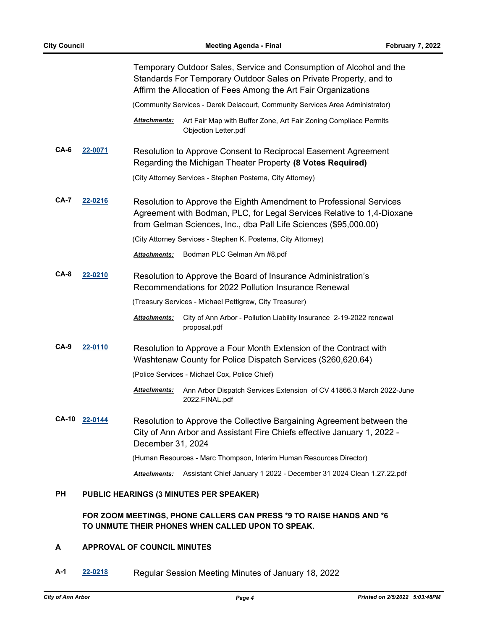|              |                |                      | Temporary Outdoor Sales, Service and Consumption of Alcohol and the<br>Standards For Temporary Outdoor Sales on Private Property, and to<br>Affirm the Allocation of Fees Among the Art Fair Organizations        |
|--------------|----------------|----------------------|-------------------------------------------------------------------------------------------------------------------------------------------------------------------------------------------------------------------|
|              |                |                      | (Community Services - Derek Delacourt, Community Services Area Administrator)                                                                                                                                     |
|              |                | <u> Attachments:</u> | Art Fair Map with Buffer Zone, Art Fair Zoning Compliace Permits<br>Objection Letter.pdf                                                                                                                          |
| CA-6         | 22-0071        |                      | Resolution to Approve Consent to Reciprocal Easement Agreement<br>Regarding the Michigan Theater Property (8 Votes Required)                                                                                      |
|              |                |                      | (City Attorney Services - Stephen Postema, City Attorney)                                                                                                                                                         |
| CA-7         | 22-0216        |                      | Resolution to Approve the Eighth Amendment to Professional Services<br>Agreement with Bodman, PLC, for Legal Services Relative to 1,4-Dioxane<br>from Gelman Sciences, Inc., dba Pall Life Sciences (\$95,000.00) |
|              |                |                      | (City Attorney Services - Stephen K. Postema, City Attorney)                                                                                                                                                      |
|              |                | <b>Attachments:</b>  | Bodman PLC Gelman Am #8.pdf                                                                                                                                                                                       |
| $CA-8$       | 22-0210        |                      | Resolution to Approve the Board of Insurance Administration's<br>Recommendations for 2022 Pollution Insurance Renewal                                                                                             |
|              |                |                      | (Treasury Services - Michael Pettigrew, City Treasurer)                                                                                                                                                           |
|              |                | Attachments:         | City of Ann Arbor - Pollution Liability Insurance 2-19-2022 renewal<br>proposal.pdf                                                                                                                               |
| $CA-9$       | <u>22-0110</u> |                      | Resolution to Approve a Four Month Extension of the Contract with<br>Washtenaw County for Police Dispatch Services (\$260,620.64)                                                                                 |
|              |                |                      | (Police Services - Michael Cox, Police Chief)                                                                                                                                                                     |
|              |                | <b>Attachments:</b>  | Ann Arbor Dispatch Services Extension of CV 41866.3 March 2022-June<br>2022.FINAL.pdf                                                                                                                             |
| <b>CA-10</b> | 22-0144        | December 31, 2024    | Resolution to Approve the Collective Bargaining Agreement between the<br>City of Ann Arbor and Assistant Fire Chiefs effective January 1, 2022 -                                                                  |
|              |                |                      | (Human Resources - Marc Thompson, Interim Human Resources Director)                                                                                                                                               |
|              |                | <b>Attachments:</b>  | Assistant Chief January 1 2022 - December 31 2024 Clean 1.27.22.pdf                                                                                                                                               |
| РH           |                |                      | PUBLIC HEARINGS (3 MINUTES PER SPEAKER)                                                                                                                                                                           |

# **FOR ZOOM MEETINGS, PHONE CALLERS CAN PRESS \*9 TO RAISE HANDS AND \*6 TO UNMUTE THEIR PHONES WHEN CALLED UPON TO SPEAK.**

# **A APPROVAL OF COUNCIL MINUTES**

**A-1 [22-0218](http://a2gov.legistar.com/gateway.aspx?M=L&ID=29405)** Regular Session Meeting Minutes of January 18, 2022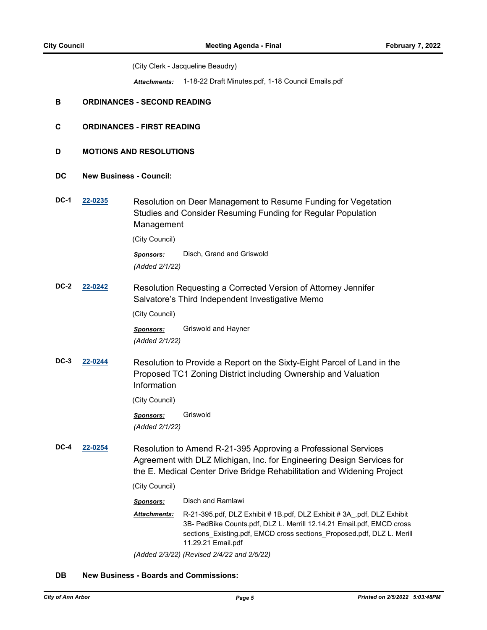(City Clerk - Jacqueline Beaudry)

*Attachments:* 1-18-22 Draft Minutes.pdf, 1-18 Council Emails.pdf

#### **B ORDINANCES - SECOND READING**

- **C ORDINANCES FIRST READING**
- **D MOTIONS AND RESOLUTIONS**
- **DC New Business Council:**
- **DC-1 [22-0235](http://a2gov.legistar.com/gateway.aspx?M=L&ID=29422)** Resolution on Deer Management to Resume Funding for Vegetation Studies and Consider Resuming Funding for Regular Population Management

(City Council)

*Sponsors:* Disch, Grand and Griswold *(Added 2/1/22)*

**DC-2 [22-0242](http://a2gov.legistar.com/gateway.aspx?M=L&ID=29429)** Resolution Requesting a Corrected Version of Attorney Jennifer Salvatore's Third Independent Investigative Memo

(City Council)

*Sponsors:* Griswold and Hayner *(Added 2/1/22)*

**DC-3 [22-0244](http://a2gov.legistar.com/gateway.aspx?M=L&ID=29431)** Resolution to Provide a Report on the Sixty-Eight Parcel of Land in the Proposed TC1 Zoning District including Ownership and Valuation Information

(City Council)

*Sponsors:* Griswold *(Added 2/1/22)*

**DC-4 [22-0254](http://a2gov.legistar.com/gateway.aspx?M=L&ID=29441)** Resolution to Amend R-21-395 Approving a Professional Services Agreement with DLZ Michigan, Inc. for Engineering Design Services for the E. Medical Center Drive Bridge Rehabilitation and Widening Project

(City Council)

*Sponsors:* Disch and Ramlawi

R-21-395.pdf, DLZ Exhibit # 1B.pdf, DLZ Exhibit # 3A\_.pdf, DLZ Exhibit 3B- PedBike Counts.pdf, DLZ L. Merrill 12.14.21 Email.pdf, EMCD cross sections\_Existing.pdf, EMCD cross sections\_Proposed.pdf, DLZ L. Merill 11.29.21 Email.pdf *Attachments:*

*(Added 2/3/22) (Revised 2/4/22 and 2/5/22)*

#### **DB New Business - Boards and Commissions:**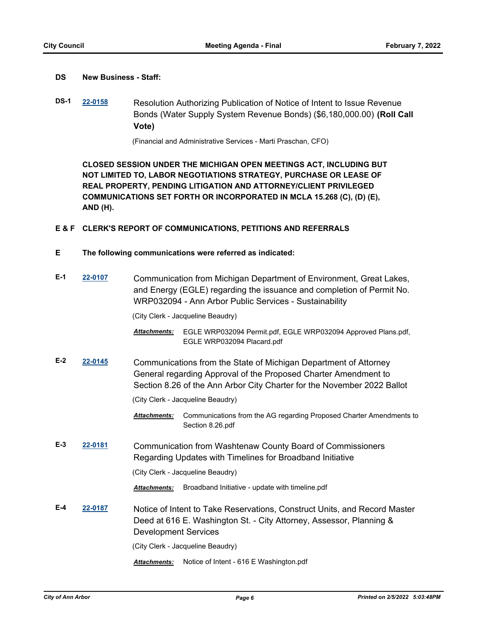## **DS New Business - Staff:**

**DS-1 [22-0158](http://a2gov.legistar.com/gateway.aspx?M=L&ID=29349)** Resolution Authorizing Publication of Notice of Intent to Issue Revenue Bonds (Water Supply System Revenue Bonds) (\$6,180,000.00) **(Roll Call Vote)**

(Financial and Administrative Services - Marti Praschan, CFO)

**CLOSED SESSION UNDER THE MICHIGAN OPEN MEETINGS ACT, INCLUDING BUT NOT LIMITED TO, LABOR NEGOTIATIONS STRATEGY, PURCHASE OR LEASE OF REAL PROPERTY, PENDING LITIGATION AND ATTORNEY/CLIENT PRIVILEGED COMMUNICATIONS SET FORTH OR INCORPORATED IN MCLA 15.268 (C), (D) (E), AND (H).**

#### **E & F CLERK'S REPORT OF COMMUNICATIONS, PETITIONS AND REFERRALS**

**E The following communications were referred as indicated:**

| $E-1$ | 22-0107                                                                                                                                                                                    | Communication from Michigan Department of Environment, Great Lakes,<br>and Energy (EGLE) regarding the issuance and completion of Permit No.<br>WRP032094 - Ann Arbor Public Services - Sustainability         |                                                                                             |  |
|-------|--------------------------------------------------------------------------------------------------------------------------------------------------------------------------------------------|----------------------------------------------------------------------------------------------------------------------------------------------------------------------------------------------------------------|---------------------------------------------------------------------------------------------|--|
|       |                                                                                                                                                                                            |                                                                                                                                                                                                                | (City Clerk - Jacqueline Beaudry)                                                           |  |
|       |                                                                                                                                                                                            | Attachments:                                                                                                                                                                                                   | EGLE WRP032094 Permit.pdf, EGLE WRP032094 Approved Plans.pdf,<br>EGLE WRP032094 Placard.pdf |  |
| $E-2$ | 22-0145                                                                                                                                                                                    | Communications from the State of Michigan Department of Attorney<br>General regarding Approval of the Proposed Charter Amendment to<br>Section 8.26 of the Ann Arbor City Charter for the November 2022 Ballot |                                                                                             |  |
|       |                                                                                                                                                                                            | (City Clerk - Jacqueline Beaudry)                                                                                                                                                                              |                                                                                             |  |
|       |                                                                                                                                                                                            | <b>Attachments:</b>                                                                                                                                                                                            | Communications from the AG regarding Proposed Charter Amendments to<br>Section 8.26.pdf     |  |
| $E-3$ | 22-0181                                                                                                                                                                                    | Communication from Washtenaw County Board of Commissioners<br>Regarding Updates with Timelines for Broadband Initiative                                                                                        |                                                                                             |  |
|       |                                                                                                                                                                                            |                                                                                                                                                                                                                | (City Clerk - Jacqueline Beaudry)                                                           |  |
|       |                                                                                                                                                                                            | <b>Attachments:</b>                                                                                                                                                                                            | Broadband Initiative - update with timeline.pdf                                             |  |
| E-4   | 22-0187<br>Notice of Intent to Take Reservations, Construct Units, and Record Master<br>Deed at 616 E. Washington St. - City Attorney, Assessor, Planning &<br><b>Development Services</b> |                                                                                                                                                                                                                |                                                                                             |  |
|       |                                                                                                                                                                                            |                                                                                                                                                                                                                | (City Clerk - Jacqueline Beaudry)                                                           |  |
|       |                                                                                                                                                                                            | <b>Attachments:</b>                                                                                                                                                                                            | Notice of Intent - 616 E Washington.pdf                                                     |  |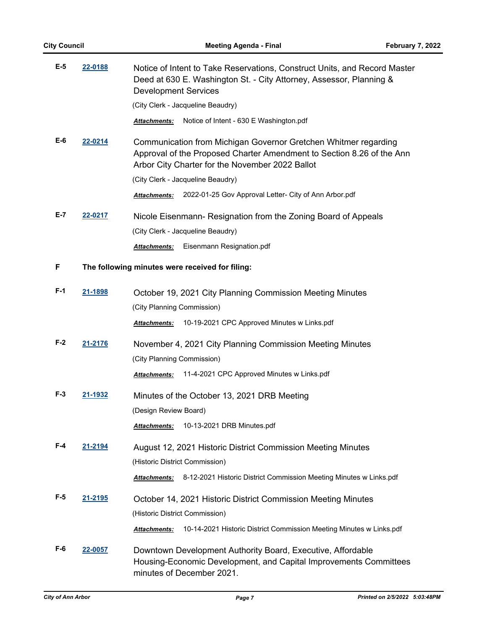| E-5   | 22-0188 | Notice of Intent to Take Reservations, Construct Units, and Record Master<br>Deed at 630 E. Washington St. - City Attorney, Assessor, Planning &<br><b>Development Services</b>             |  |
|-------|---------|---------------------------------------------------------------------------------------------------------------------------------------------------------------------------------------------|--|
|       |         | (City Clerk - Jacqueline Beaudry)                                                                                                                                                           |  |
|       |         | Notice of Intent - 630 E Washington.pdf<br>Attachments:                                                                                                                                     |  |
| E-6   | 22-0214 | Communication from Michigan Governor Gretchen Whitmer regarding<br>Approval of the Proposed Charter Amendment to Section 8.26 of the Ann<br>Arbor City Charter for the November 2022 Ballot |  |
|       |         | (City Clerk - Jacqueline Beaudry)                                                                                                                                                           |  |
|       |         | 2022-01-25 Gov Approval Letter- City of Ann Arbor.pdf<br><b>Attachments:</b>                                                                                                                |  |
| E-7   | 22-0217 | Nicole Eisenmann- Resignation from the Zoning Board of Appeals                                                                                                                              |  |
|       |         | (City Clerk - Jacqueline Beaudry)                                                                                                                                                           |  |
|       |         | Eisenmann Resignation.pdf<br><b>Attachments:</b>                                                                                                                                            |  |
| F     |         | The following minutes were received for filing:                                                                                                                                             |  |
| F-1   | 21-1898 | October 19, 2021 City Planning Commission Meeting Minutes                                                                                                                                   |  |
|       |         | (City Planning Commission)                                                                                                                                                                  |  |
|       |         | 10-19-2021 CPC Approved Minutes w Links.pdf<br><b>Attachments:</b>                                                                                                                          |  |
| $F-2$ | 21-2176 | November 4, 2021 City Planning Commission Meeting Minutes                                                                                                                                   |  |
|       |         | (City Planning Commission)                                                                                                                                                                  |  |
|       |         | 11-4-2021 CPC Approved Minutes w Links.pdf<br><b>Attachments:</b>                                                                                                                           |  |
| F-3   | 21-1932 | Minutes of the October 13, 2021 DRB Meeting                                                                                                                                                 |  |
|       |         | (Design Review Board)                                                                                                                                                                       |  |
|       |         | 10-13-2021 DRB Minutes.pdf<br>Attachments:                                                                                                                                                  |  |
| F-4   | 21-2194 | August 12, 2021 Historic District Commission Meeting Minutes                                                                                                                                |  |
|       |         | (Historic District Commission)                                                                                                                                                              |  |
|       |         | 8-12-2021 Historic District Commission Meeting Minutes w Links.pdf<br>Attachments:                                                                                                          |  |
| F-5   | 21-2195 | October 14, 2021 Historic District Commission Meeting Minutes                                                                                                                               |  |
|       |         | (Historic District Commission)                                                                                                                                                              |  |
|       |         | 10-14-2021 Historic District Commission Meeting Minutes w Links.pdf<br>Attachments:                                                                                                         |  |
| F-6   | 22-0057 | Downtown Development Authority Board, Executive, Affordable<br>Housing-Economic Development, and Capital Improvements Committees<br>minutes of December 2021.                               |  |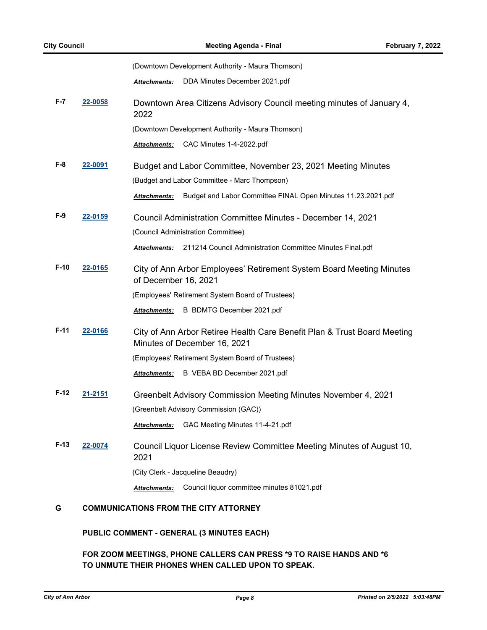|        |                | (Downtown Development Authority - Maura Thomson)                                                         |  |
|--------|----------------|----------------------------------------------------------------------------------------------------------|--|
|        |                | DDA Minutes December 2021.pdf<br><b>Attachments:</b>                                                     |  |
| F-7    | 22-0058        | Downtown Area Citizens Advisory Council meeting minutes of January 4,<br>2022                            |  |
|        |                | (Downtown Development Authority - Maura Thomson)                                                         |  |
|        |                | CAC Minutes 1-4-2022.pdf<br>Attachments:                                                                 |  |
| F-8    | <u>22-0091</u> | Budget and Labor Committee, November 23, 2021 Meeting Minutes                                            |  |
|        |                | (Budget and Labor Committee - Marc Thompson)                                                             |  |
|        |                | Budget and Labor Committee FINAL Open Minutes 11.23.2021.pdf<br><b>Attachments:</b>                      |  |
| F-9    | 22-0159        | Council Administration Committee Minutes - December 14, 2021                                             |  |
|        |                | (Council Administration Committee)                                                                       |  |
|        |                | 211214 Council Administration Committee Minutes Final.pdf<br><b>Attachments:</b>                         |  |
| $F-10$ | 22-0165        | City of Ann Arbor Employees' Retirement System Board Meeting Minutes<br>of December 16, 2021             |  |
|        |                | (Employees' Retirement System Board of Trustees)                                                         |  |
|        |                | B BDMTG December 2021.pdf<br><b>Attachments:</b>                                                         |  |
| $F-11$ | 22-0166        | City of Ann Arbor Retiree Health Care Benefit Plan & Trust Board Meeting<br>Minutes of December 16, 2021 |  |
|        |                | (Employees' Retirement System Board of Trustees)                                                         |  |
|        |                | B VEBA BD December 2021.pdf<br><b>Attachments:</b>                                                       |  |
| $F-12$ | 21-2151        | Greenbelt Advisory Commission Meeting Minutes November 4, 2021                                           |  |
|        |                | (Greenbelt Advisory Commission (GAC))                                                                    |  |
|        |                | GAC Meeting Minutes 11-4-21.pdf<br><b>Attachments:</b>                                                   |  |
| $F-13$ | 22-0074        | Council Liquor License Review Committee Meeting Minutes of August 10,<br>2021                            |  |
|        |                | (City Clerk - Jacqueline Beaudry)                                                                        |  |
|        |                | Council liquor committee minutes 81021.pdf<br><b>Attachments:</b>                                        |  |

# **G COMMUNICATIONS FROM THE CITY ATTORNEY**

# **PUBLIC COMMENT - GENERAL (3 MINUTES EACH)**

# **FOR ZOOM MEETINGS, PHONE CALLERS CAN PRESS \*9 TO RAISE HANDS AND \*6 TO UNMUTE THEIR PHONES WHEN CALLED UPON TO SPEAK.**